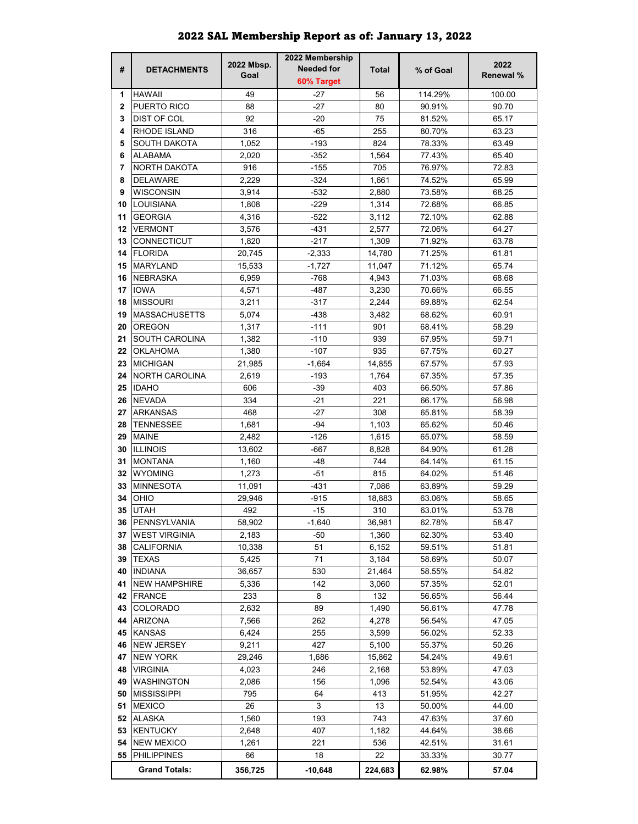|              |                       |            | 2022 Membership   |              |           |                  |
|--------------|-----------------------|------------|-------------------|--------------|-----------|------------------|
| #            | <b>DETACHMENTS</b>    | 2022 Mbsp. | <b>Needed for</b> | <b>Total</b> | % of Goal | 2022             |
|              |                       | Goal       | 60% Target        |              |           | <b>Renewal %</b> |
| 1            | <b>HAWAII</b>         | 49         | $-27$             | 56           | 114.29%   | 100.00           |
| $\mathbf{2}$ | PUERTO RICO           | 88         | $-27$             | 80           | 90.91%    | 90.70            |
| 3            | DIST OF COL           | 92         | $-20$             | 75           | 81.52%    | 65.17            |
| 4            | RHODE ISLAND          | 316        | $-65$             | 255          | 80.70%    | 63.23            |
| 5            | SOUTH DAKOTA          | 1,052      | -193              | 824          | 78.33%    | 63.49            |
| 6            | ALABAMA               | 2.020      | $-352$            | 1,564        | 77.43%    | 65.40            |
| 7            | NORTH DAKOTA          | 916        | $-155$            | 705          | 76.97%    | 72.83            |
| 8            | <b>DELAWARE</b>       | 2,229      | $-324$            | 1,661        | 74.52%    | 65.99            |
| 9            | WISCONSIN             | 3,914      | $-532$            | 2,880        | 73.58%    | 68.25            |
| 10           | <b>LOUISIANA</b>      | 1,808      | $-229$            | 1,314        | 72.68%    | 66.85            |
| 11           | <b>GEORGIA</b>        | 4,316      | $-522$            | 3,112        | 72.10%    | 62.88            |
| 12           | <b>VERMONT</b>        | 3,576      | $-431$            | 2,577        | 72.06%    | 64.27            |
| 13           | CONNECTICUT           | 1,820      | $-217$            | 1,309        | 71.92%    | 63.78            |
| 14           | <b>FLORIDA</b>        | 20,745     | $-2,333$          | 14,780       | 71.25%    | 61.81            |
| 15           | <b>MARYLAND</b>       | 15,533     | $-1,727$          | 11.047       | 71.12%    | 65.74            |
| 16           | <b>NEBRASKA</b>       | 6,959      | -768              | 4,943        | 71.03%    | 68.68            |
|              |                       |            |                   |              |           |                  |
| 17           | <b>IOWA</b>           | 4,571      | -487              | 3,230        | 70.66%    | 66.55            |
| 18           | <b>MISSOURI</b>       | 3,211      | -317              | 2.244        | 69.88%    | 62.54            |
| 19           | <b>MASSACHUSETTS</b>  | 5,074      | -438              | 3,482        | 68.62%    | 60.91            |
| 20           | OREGON                | 1,317      | $-111$            | 901          | 68.41%    | 58.29            |
| 21           | <b>SOUTH CAROLINA</b> | 1,382      | $-110$            | 939          | 67.95%    | 59.71            |
| 22           | <b>OKLAHOMA</b>       | 1,380      | $-107$            | 935          | 67.75%    | 60.27            |
| 23           | <b>MICHIGAN</b>       | 21,985     | $-1,664$          | 14,855       | 67.57%    | 57.93            |
| 24           | NORTH CAROLINA        | 2,619      | -193              | 1,764        | 67.35%    | 57.35            |
| 25           | <b>IDAHO</b>          | 606        | $-39$             | 403          | 66.50%    | 57.86            |
| 26           | <b>NEVADA</b>         | 334        | $-21$             | 221          | 66.17%    | 56.98            |
| 27           | <b>ARKANSAS</b>       | 468        | $-27$             | 308          | 65.81%    | 58.39            |
| 28           | <b>TENNESSEE</b>      | 1,681      | $-94$             | 1,103        | 65.62%    | 50.46            |
| 29           | <b>MAINE</b>          | 2,482      | $-126$            | 1,615        | 65.07%    | 58.59            |
| 30           | <b>ILLINOIS</b>       | 13,602     | -667              | 8,828        | 64.90%    | 61.28            |
| 31           | <b>MONTANA</b>        | 1,160      | -48               | 744          | 64.14%    | 61.15            |
| 32           | WYOMING               | 1,273      | $-51$             | 815          | 64.02%    | 51.46            |
| 33           | <b>MINNESOTA</b>      | 11,091     | -431              | 7.086        | 63.89%    | 59.29            |
| 34           | OHIO                  | 29,946     | $-915$            | 18,883       | 63.06%    | 58.65            |
| 35           | <b>UTAH</b>           | 492        | $-15$             | 310          | 63.01%    | 53.78            |
|              | 36 PENNSYLVANIA       | 58,902     | $-1,640$          | 36,981       | 62.78%    | 58.47            |
| 37           | <b>WEST VIRGINIA</b>  | 2,183      | -50               | 1,360        | 62.30%    | 53.40            |
| 38           | CALIFORNIA            | 10,338     | 51                | 6,152        | 59.51%    | 51.81            |
| 39           | <b>TEXAS</b>          | 5,425      | 71                | 3,184        | 58.69%    | 50.07            |
| 40           | <b>INDIANA</b>        | 36,657     | 530               | 21,464       | 58.55%    | 54.82            |
| 41           | <b>NEW HAMPSHIRE</b>  | 5,336      | 142               | 3,060        | 57.35%    | 52.01            |
| 42           | <b>FRANCE</b>         | 233        | 8                 | 132          | 56.65%    | 56.44            |
| 43           | COLORADO              | 2,632      | 89                | 1,490        | 56.61%    | 47.78            |
| 44           | <b>ARIZONA</b>        | 7,566      | 262               | 4,278        | 56.54%    | 47.05            |
| 45           | <b>KANSAS</b>         | 6,424      | 255               | 3,599        | 56.02%    | 52.33            |
| 46           | <b>NEW JERSEY</b>     | 9,211      | 427               | 5,100        | 55.37%    | 50.26            |
| 47           | <b>NEW YORK</b>       | 29,246     | 1,686             | 15,862       | 54.24%    | 49.61            |
| 48           | <b>VIRGINIA</b>       | 4,023      | 246               | 2,168        | 53.89%    | 47.03            |
| 49           | <b>WASHINGTON</b>     | 2,086      | 156               | 1,096        | 52.54%    | 43.06            |
| 50           | <b>MISSISSIPPI</b>    | 795        | 64                | 413          | 51.95%    | 42.27            |
| 51           | <b>MEXICO</b>         | 26         | 3                 | 13           | 50.00%    | 44.00            |
| 52           | ALASKA                | 1,560      | 193               | 743          | 47.63%    | 37.60            |
| 53           | <b>KENTUCKY</b>       | 2,648      | 407               | 1,182        | 44.64%    | 38.66            |
| 54           | <b>NEW MEXICO</b>     | 1,261      | 221               | 536          | 42.51%    | 31.61            |
| 55           | PHILIPPINES           | 66         | 18                | 22           | 33.33%    | 30.77            |
|              |                       |            |                   |              |           |                  |
|              | <b>Grand Totals:</b>  | 356,725    | $-10,648$         | 224,683      | 62.98%    | 57.04            |

## 2022 SAL Membership Report as of: January 13, 2022